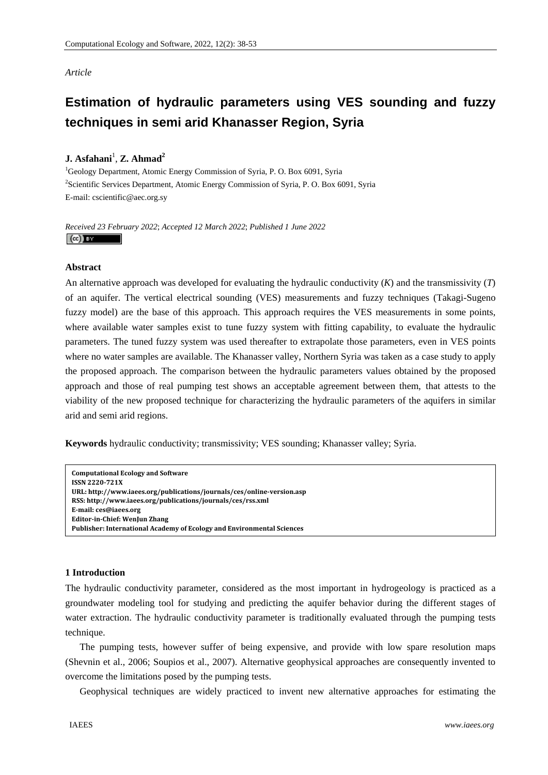## *Article*

# **Estimation of hydraulic parameters using VES sounding and fuzzy techniques in semi arid Khanasser Region, Syria**

## **J.** Asfahani<sup>1</sup>, **Z.** Ahmad<sup>2</sup>

<sup>1</sup>Geology Department, Atomic Energy Commission of Syria, P. O. Box 6091, Syria <sup>2</sup>Scientific Services Department, Atomic Energy Commission of Syria, P. O. Box 6091, Syria E-mail: cscientific@aec.org.sy

*Received 23 February 2022*; *Accepted 12 March 2022*; *Published 1 June 2022*   $\left(\mathrm{cc}\right)$  BY

## **Abstract**

An alternative approach was developed for evaluating the hydraulic conductivity (*K*) and the transmissivity (*T*) of an aquifer. The vertical electrical sounding (VES) measurements and fuzzy techniques (Takagi-Sugeno fuzzy model) are the base of this approach. This approach requires the VES measurements in some points, where available water samples exist to tune fuzzy system with fitting capability, to evaluate the hydraulic parameters. The tuned fuzzy system was used thereafter to extrapolate those parameters, even in VES points where no water samples are available. The Khanasser valley, Northern Syria was taken as a case study to apply the proposed approach. The comparison between the hydraulic parameters values obtained by the proposed approach and those of real pumping test shows an acceptable agreement between them, that attests to the viability of the new proposed technique for characterizing the hydraulic parameters of the aquifers in similar arid and semi arid regions.

**Keywords** hydraulic conductivity; transmissivity; VES sounding; Khanasser valley; Syria.

| <b>Computational Ecology and Software</b>                              |
|------------------------------------------------------------------------|
| <b>ISSN 2220-721X</b>                                                  |
| URL: http://www.iaees.org/publications/journals/ces/online-version.asp |
| RSS: http://www.iaees.org/publications/journals/ces/rss.xml            |
| E-mail: ces@iaees.org                                                  |
| Editor-in-Chief: WenJun Zhang                                          |
| Publisher: International Academy of Ecology and Environmental Sciences |

#### **1 Introduction**

The hydraulic conductivity parameter, considered as the most important in hydrogeology is practiced as a groundwater modeling tool for studying and predicting the aquifer behavior during the different stages of water extraction. The hydraulic conductivity parameter is traditionally evaluated through the pumping tests technique.

 The pumping tests, however suffer of being expensive, and provide with low spare resolution maps (Shevnin et al., 2006; Soupios et al., 2007). Alternative geophysical approaches are consequently invented to overcome the limitations posed by the pumping tests.

Geophysical techniques are widely practiced to invent new alternative approaches for estimating the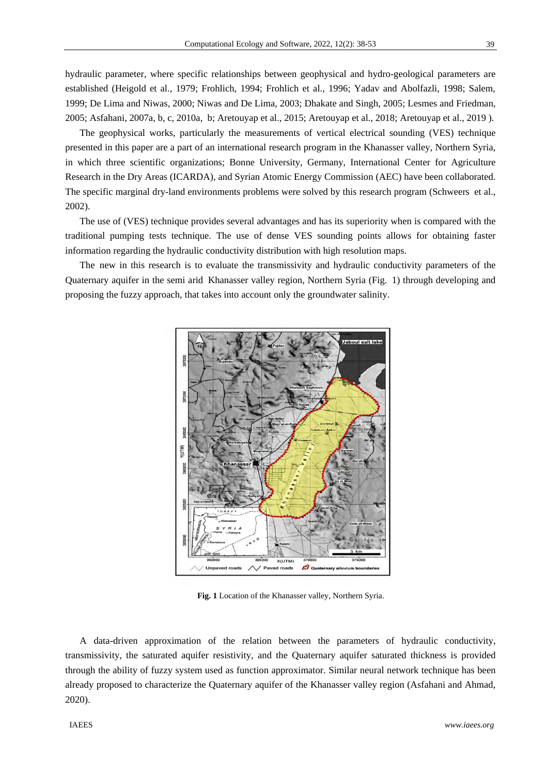39

hydraulic parameter, where specific relationships between geophysical and hydro-geological parameters are established (Heigold et al., 1979; Frohlich, 1994; Frohlich et al., 1996; Yadav and Abolfazli, 1998; Salem, 1999; De Lima and Niwas, 2000; Niwas and De Lima, 2003; Dhakate and Singh, 2005; Lesmes and Friedman, 2005; Asfahani, 2007a, b, c, 2010a, b; Aretouyap et al., 2015; Aretouyap et al., 2018; Aretouyap et al., 2019 ).

 The geophysical works, particularly the measurements of vertical electrical sounding (VES) technique presented in this paper are a part of an international research program in the Khanasser valley, Northern Syria, in which three scientific organizations; Bonne University, Germany, International Center for Agriculture Research in the Dry Areas (ICARDA), and Syrian Atomic Energy Commission (AEC) have been collaborated. The specific marginal dry-land environments problems were solved by this research program (Schweers et al., 2002).

 The use of (VES) technique provides several advantages and has its superiority when is compared with the traditional pumping tests technique. The use of dense VES sounding points allows for obtaining faster information regarding the hydraulic conductivity distribution with high resolution maps.

 The new in this research is to evaluate the transmissivity and hydraulic conductivity parameters of the Quaternary aquifer in the semi arid Khanasser valley region, Northern Syria (Fig. 1) through developing and proposing the fuzzy approach, that takes into account only the groundwater salinity.



**Fig. 1** Location of the Khanasser valley, Northern Syria.

 A data-driven approximation of the relation between the parameters of hydraulic conductivity, transmissivity, the saturated aquifer resistivity, and the Quaternary aquifer saturated thickness is provided through the ability of fuzzy system used as function approximator. Similar neural network technique has been already proposed to characterize the Quaternary aquifer of the Khanasser valley region (Asfahani and Ahmad, 2020).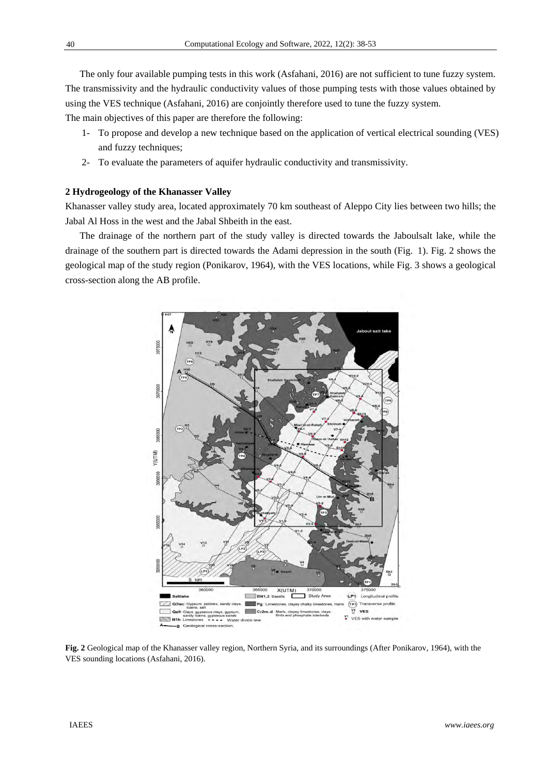The only four available pumping tests in this work (Asfahani, 2016) are not sufficient to tune fuzzy system. The transmissivity and the hydraulic conductivity values of those pumping tests with those values obtained by using the VES technique (Asfahani, 2016) are conjointly therefore used to tune the fuzzy system.

The main objectives of this paper are therefore the following:

- 1- To propose and develop a new technique based on the application of vertical electrical sounding (VES) and fuzzy techniques;
- 2- To evaluate the parameters of aquifer hydraulic conductivity and transmissivity.

#### **2 Hydrogeology of the Khanasser Valley**

Khanasser valley study area, located approximately 70 km southeast of Aleppo City lies between two hills; the Jabal Al Hoss in the west and the Jabal Shbeith in the east.

 The drainage of the northern part of the study valley is directed towards the Jaboulsalt lake, while the drainage of the southern part is directed towards the Adami depression in the south (Fig. 1). Fig. 2 shows the geological map of the study region (Ponikarov, 1964), with the VES locations, while Fig. 3 shows a geological cross-section along the AB profile.



**Fig. 2** Geological map of the Khanasser valley region, Northern Syria, and its surroundings (After Ponikarov, 1964), with the VES sounding locations (Asfahani, 2016).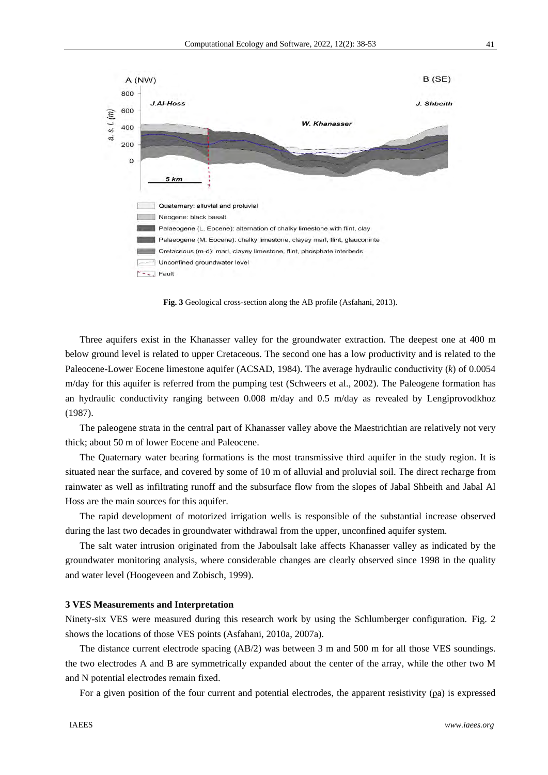

**Fig. 3** Geological cross-section along the AB profile (Asfahani, 2013).

 Three aquifers exist in the Khanasser valley for the groundwater extraction. The deepest one at 400 m below ground level is related to upper Cretaceous. The second one has a low productivity and is related to the Paleocene-Lower Eocene limestone aquifer (ACSAD, 1984). The average hydraulic conductivity (*k*) of 0.0054 m/day for this aquifer is referred from the pumping test (Schweers et al., 2002). The Paleogene formation has an hydraulic conductivity ranging between 0.008 m/day and 0.5 m/day as revealed by Lengiprovodkhoz (1987).

 The paleogene strata in the central part of Khanasser valley above the Maestrichtian are relatively not very thick; about 50 m of lower Eocene and Paleocene.

The Quaternary water bearing formations is the most transmissive third aquifer in the study region. It is situated near the surface, and covered by some of 10 m of alluvial and proluvial soil. The direct recharge from rainwater as well as infiltrating runoff and the subsurface flow from the slopes of Jabal Shbeith and Jabal Al Hoss are the main sources for this aquifer.

 The rapid development of motorized irrigation wells is responsible of the substantial increase observed during the last two decades in groundwater withdrawal from the upper, unconfined aquifer system.

 The salt water intrusion originated from the Jaboulsalt lake affects Khanasser valley as indicated by the groundwater monitoring analysis, where considerable changes are clearly observed since 1998 in the quality and water level (Hoogeveen and Zobisch, 1999).

#### **3 VES Measurements and Interpretation**

Ninety-six VES were measured during this research work by using the Schlumberger configuration. Fig. 2 shows the locations of those VES points (Asfahani, 2010a, 2007a).

 The distance current electrode spacing (AB/2) was between 3 m and 500 m for all those VES soundings. the two electrodes A and B are symmetrically expanded about the center of the array, while the other two M and N potential electrodes remain fixed.

For a given position of the four current and potential electrodes, the apparent resistivity  $(\rho a)$  is expressed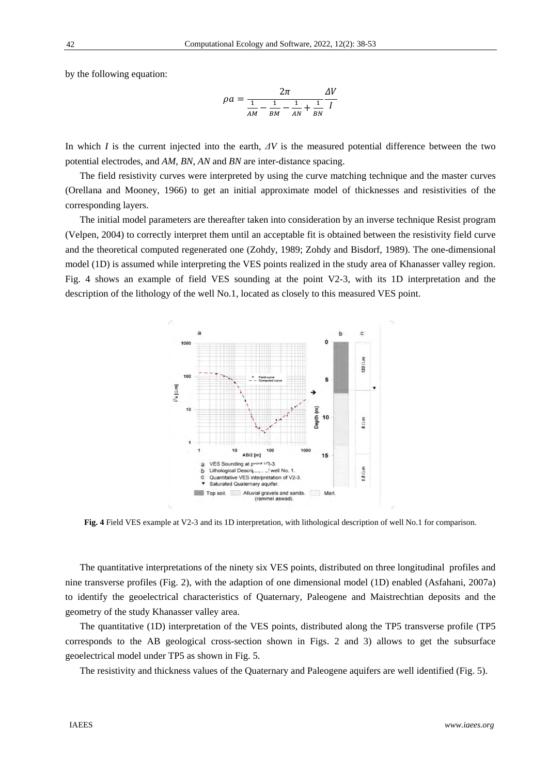by the following equation:

$$
\rho a = \frac{2\pi}{\frac{1}{AM} - \frac{1}{BM} - \frac{1}{AN} + \frac{1}{BN}} \frac{\Delta V}{I}
$$

In which *I* is the current injected into the earth, *ΔV* is the measured potential difference between the two potential electrodes, and *AM*, *BN*, *AN* and *BN* are inter-distance spacing.

 The field resistivity curves were interpreted by using the curve matching technique and the master curves (Orellana and Mooney, 1966) to get an initial approximate model of thicknesses and resistivities of the corresponding layers.

 The initial model parameters are thereafter taken into consideration by an inverse technique Resist program (Velpen, 2004) to correctly interpret them until an acceptable fit is obtained between the resistivity field curve and the theoretical computed regenerated one (Zohdy, 1989; Zohdy and Bisdorf, 1989). The one-dimensional model (1D) is assumed while interpreting the VES points realized in the study area of Khanasser valley region. Fig. 4 shows an example of field VES sounding at the point V2-3, with its 1D interpretation and the description of the lithology of the well No.1, located as closely to this measured VES point.



**Fig. 4** Field VES example at V2-3 and its 1D interpretation, with lithological description of well No.1 for comparison.

 The quantitative interpretations of the ninety six VES points, distributed on three longitudinal profiles and nine transverse profiles (Fig. 2), with the adaption of one dimensional model (1D) enabled (Asfahani, 2007a) to identify the geoelectrical characteristics of Quaternary, Paleogene and Maistrechtian deposits and the geometry of the study Khanasser valley area.

 The quantitative (1D) interpretation of the VES points, distributed along the TP5 transverse profile (TP5 corresponds to the AB geological cross-section shown in Figs. 2 and 3) allows to get the subsurface geoelectrical model under TP5 as shown in Fig. 5.

The resistivity and thickness values of the Quaternary and Paleogene aquifers are well identified (Fig. 5).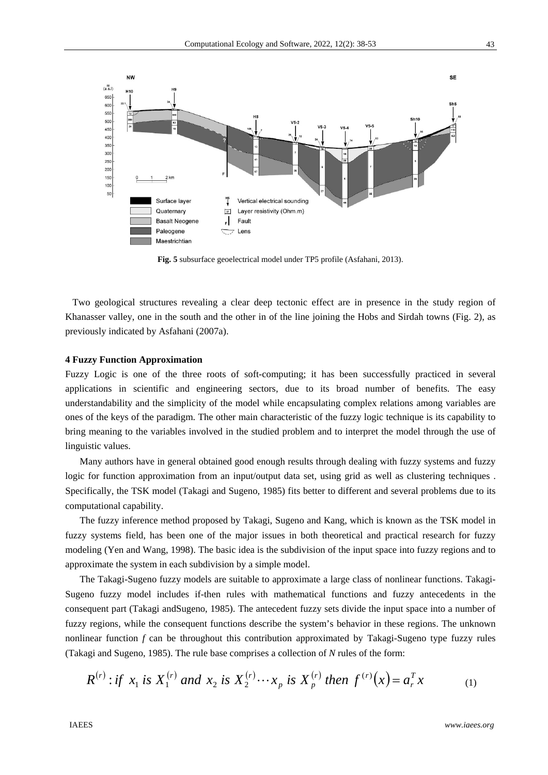

**Fig. 5** subsurface geoelectrical model under TP5 profile (Asfahani, 2013).

 Two geological structures revealing a clear deep tectonic effect are in presence in the study region of Khanasser valley, one in the south and the other in of the line joining the Hobs and Sirdah towns (Fig. 2), as previously indicated by Asfahani (2007a).

## **4 Fuzzy Function Approximation**

Fuzzy Logic is one of the three roots of soft-computing; it has been successfully practiced in several applications in scientific and engineering sectors, due to its broad number of benefits. The easy understandability and the simplicity of the model while encapsulating complex relations among variables are ones of the keys of the paradigm. The other main characteristic of the fuzzy logic technique is its capability to bring meaning to the variables involved in the studied problem and to interpret the model through the use of linguistic values.

 Many authors have in general obtained good enough results through dealing with fuzzy systems and fuzzy logic for function approximation from an input/output data set, using grid as well as clustering techniques . Specifically, the TSK model (Takagi and Sugeno, 1985) fits better to different and several problems due to its computational capability.

The fuzzy inference method proposed by Takagi, Sugeno and Kang, which is known as the TSK model in fuzzy systems field, has been one of the major issues in both theoretical and practical research for fuzzy modeling (Yen and Wang, 1998). The basic idea is the subdivision of the input space into fuzzy regions and to approximate the system in each subdivision by a simple model.

The Takagi-Sugeno fuzzy models are suitable to approximate a large class of nonlinear functions. Takagi-Sugeno fuzzy model includes if-then rules with mathematical functions and fuzzy antecedents in the consequent part (Takagi andSugeno, 1985). The antecedent fuzzy sets divide the input space into a number of fuzzy regions, while the consequent functions describe the system's behavior in these regions. The unknown nonlinear function *f* can be throughout this contribution approximated by Takagi-Sugeno type fuzzy rules (Takagi and Sugeno, 1985). The rule base comprises a collection of *N* rules of the form:

$$
R^{(r)}: if \ x_1 \ is \ X_1^{(r)} \ and \ x_2 \ is \ X_2^{(r)} \cdots x_p \ is \ X_p^{(r)} \ then \ f^{(r)}(x) = a_r^T x \tag{1}
$$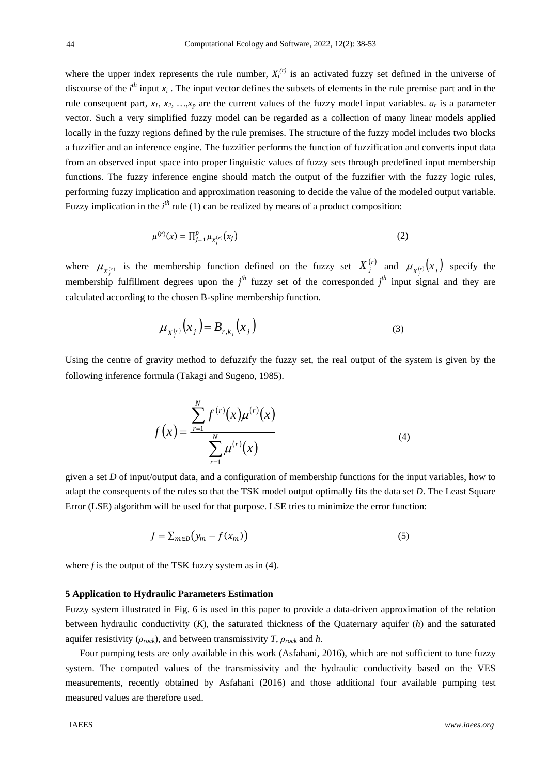where the upper index represents the rule number,  $X_i^{(r)}$  is an activated fuzzy set defined in the universe of discourse of the  $i<sup>th</sup>$  input  $x<sub>i</sub>$ . The input vector defines the subsets of elements in the rule premise part and in the rule consequent part,  $x_1, x_2, ..., x_p$  are the current values of the fuzzy model input variables.  $a_r$  is a parameter vector. Such a very simplified fuzzy model can be regarded as a collection of many linear models applied locally in the fuzzy regions defined by the rule premises. The structure of the fuzzy model includes two blocks a fuzzifier and an inference engine. The fuzzifier performs the function of fuzzification and converts input data from an observed input space into proper linguistic values of fuzzy sets through predefined input membership functions. The fuzzy inference engine should match the output of the fuzzifier with the fuzzy logic rules, performing fuzzy implication and approximation reasoning to decide the value of the modeled output variable. Fuzzy implication in the  $i<sup>th</sup>$  rule (1) can be realized by means of a product composition:

$$
\mu^{(r)}(x) = \prod_{j=1}^{p} \mu_{X_j^{(r)}}(x_j)
$$
\n(2)

where  $\mu_{X_j^{(r)}}$  is the membership function defined on the fuzzy set  $X_j^{(r)}$  and  $\mu_{X_j^{(r)}}(x_j)$  specify the membership fulfillment degrees upon the  $j^h$  fuzzy set of the corresponded  $j^h$  input signal and they are calculated according to the chosen B-spline membership function.

$$
\mu_{X_j^{(r)}}(x_j) = B_{r,k_j}(x_j)
$$
\n(3)

Using the centre of gravity method to defuzzify the fuzzy set, the real output of the system is given by the following inference formula (Takagi and Sugeno, 1985).

$$
f(x) = \frac{\sum_{r=1}^{N} f^{(r)}(x) \mu^{(r)}(x)}{\sum_{r=1}^{N} \mu^{(r)}(x)}
$$
(4)

given a set *D* of input/output data, and a configuration of membership functions for the input variables, how to adapt the consequents of the rules so that the TSK model output optimally fits the data set *D*. The Least Square Error (LSE) algorithm will be used for that purpose. LSE tries to minimize the error function:

$$
J = \sum_{m \in D} \left( y_m - f(x_m) \right) \tag{5}
$$

where  $f$  is the output of the TSK fuzzy system as in  $(4)$ .

#### **5 Application to Hydraulic Parameters Estimation**

Fuzzy system illustrated in Fig. 6 is used in this paper to provide a data-driven approximation of the relation between hydraulic conductivity (*K*), the saturated thickness of the Quaternary aquifer (*h*) and the saturated aquifer resistivity  $(\rho_{rock})$ , and between transmissivity *T*,  $\rho_{rock}$  and *h*.

Four pumping tests are only available in this work (Asfahani, 2016), which are not sufficient to tune fuzzy system. The computed values of the transmissivity and the hydraulic conductivity based on the VES measurements, recently obtained by Asfahani (2016) and those additional four available pumping test measured values are therefore used.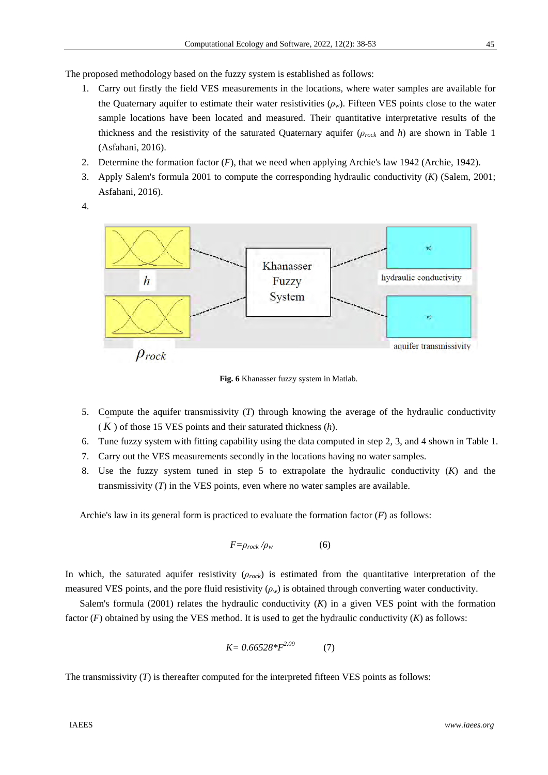The proposed methodology based on the fuzzy system is established as follows:

- 1. Carry out firstly the field VES measurements in the locations, where water samples are available for the Quaternary aquifer to estimate their water resistivities  $(\rho_w)$ . Fifteen VES points close to the water sample locations have been located and measured. Their quantitative interpretative results of the thickness and the resistivity of the saturated Quaternary aquifer (*ρrock* and *h*) are shown in Table 1 (Asfahani, 2016).
- 2. Determine the formation factor (*F*), that we need when applying Archie's law 1942 (Archie, 1942).
- 3. Apply Salem's formula 2001 to compute the corresponding hydraulic conductivity (*K*) (Salem, 2001; Asfahani, 2016).
- 4.



**Fig. 6** Khanasser fuzzy system in Matlab.

- 5. Compute the aquifer transmissivity (*T*) through knowing the average of the hydraulic conductivity  $(K)$  of those 15 VES points and their saturated thickness  $(h)$ .
- 6. Tune fuzzy system with fitting capability using the data computed in step 2, 3, and 4 shown in Table 1.
- 7. Carry out the VES measurements secondly in the locations having no water samples.
- 8. Use the fuzzy system tuned in step 5 to extrapolate the hydraulic conductivity (*K*) and the transmissivity  $(T)$  in the VES points, even where no water samples are available.

Archie's law in its general form is practiced to evaluate the formation factor (*F*) as follows:

$$
F = \rho_{rock} / \rho_w \tag{6}
$$

In which, the saturated aquifer resistivity (*ρrock*) is estimated from the quantitative interpretation of the measured VES points, and the pore fluid resistivity  $(\rho_w)$  is obtained through converting water conductivity.

Salem's formula  $(2001)$  relates the hydraulic conductivity  $(K)$  in a given VES point with the formation factor  $(F)$  obtained by using the VES method. It is used to get the hydraulic conductivity  $(K)$  as follows:

$$
K = 0.66528 * F^{2.09} \tag{7}
$$

The transmissivity (*T*) is thereafter computed for the interpreted fifteen VES points as follows: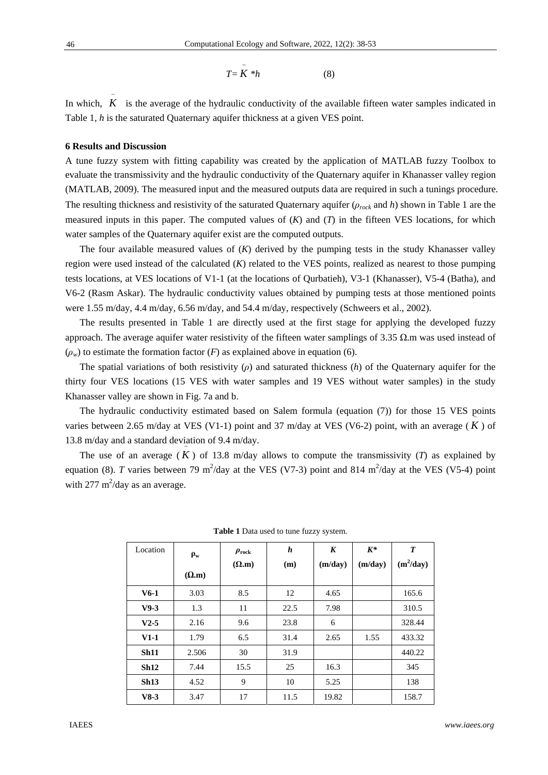$$
T = K * h \tag{8}
$$

 $\overline{a}$ 

In which,  $K$  is the average of the hydraulic conductivity of the available fifteen water samples indicated in Table 1, *h* is the saturated Quaternary aquifer thickness at a given VES point.

#### **6 Results and Discussion**

 $\overline{a}$ 

A tune fuzzy system with fitting capability was created by the application of MATLAB fuzzy Toolbox to evaluate the transmissivity and the hydraulic conductivity of the Quaternary aquifer in Khanasser valley region (MATLAB, 2009). The measured input and the measured outputs data are required in such a tunings procedure. The resulting thickness and resistivity of the saturated Quaternary aquifer (*ρrock* and *h*) shown in Table 1 are the measured inputs in this paper. The computed values of (*K*) and (*T*) in the fifteen VES locations*,* for which water samples of the Quaternary aquifer exist are the computed outputs.

The four available measured values of (*K*) derived by the pumping tests in the study Khanasser valley region were used instead of the calculated (*K*) related to the VES points, realized as nearest to those pumping tests locations, at VES locations of V1-1 (at the locations of Qurbatieh), V3-1 (Khanasser), V5-4 (Batha), and V6-2 (Rasm Askar). The hydraulic conductivity values obtained by pumping tests at those mentioned points were 1.55 m/day, 4.4 m/day, 6.56 m/day, and 54.4 m/day, respectively (Schweers et al., 2002).

The results presented in Table 1 are directly used at the first stage for applying the developed fuzzy approach. The average aquifer water resistivity of the fifteen water samplings of 3.35 Ω.m was used instead of  $(\rho_w)$  to estimate the formation factor  $(F)$  as explained above in equation (6).

The spatial variations of both resistivity (*ρ*) and saturated thickness (*h*) of the Quaternary aquifer for the thirty four VES locations (15 VES with water samples and 19 VES without water samples) in the study Khanasser valley are shown in Fig. 7a and b.

The hydraulic conductivity estimated based on Salem formula (equation (7)) for those 15 VES points varies between 2.65 m/day at VES (V1-1) point and 37 m/day at VES (V6-2) point, with an average  $(K)$  of 13.8 m/day and a standard deviation of 9.4 m/day.

The use of an average  $(K)$  of 13.8 m/day allows to compute the transmissivity  $(T)$  as explained by equation (8). *T* varies between 79 m<sup>2</sup>/day at the VES (V7-3) point and 814 m<sup>2</sup>/day at the VES (V5-4) point with  $277 \text{ m}^2/\text{day}$  as an average.

| Location | $\rho_w$<br>$(\Omega, m)$ | $\rho_{\text{rock}}$<br>$(\Omega, m)$ | h<br>(m) | K<br>(m/day) | $K^*$<br>(m/day) | T<br>$(m^2/day)$ |
|----------|---------------------------|---------------------------------------|----------|--------------|------------------|------------------|
| $V6-1$   | 3.03                      | 8.5                                   | 12       | 4.65         |                  | 165.6            |
| $V9-3$   | 1.3                       | 11                                    | 22.5     | 7.98         |                  | 310.5            |
| $V2-5$   | 2.16                      | 9.6                                   | 23.8     | 6            |                  | 328.44           |
| $V1-1$   | 1.79                      | 6.5                                   | 31.4     | 2.65         | 1.55             | 433.32           |
| Sh11     | 2.506                     | 30                                    | 31.9     |              |                  | 440.22           |
| Sh12     | 7.44                      | 15.5                                  | 25       | 16.3         |                  | 345              |
| Sh13     | 4.52                      | 9                                     | 10       | 5.25         |                  | 138              |
| $V8-3$   | 3.47                      | 17                                    | 11.5     | 19.82        |                  | 158.7            |

**Table 1** Data used to tune fuzzy system.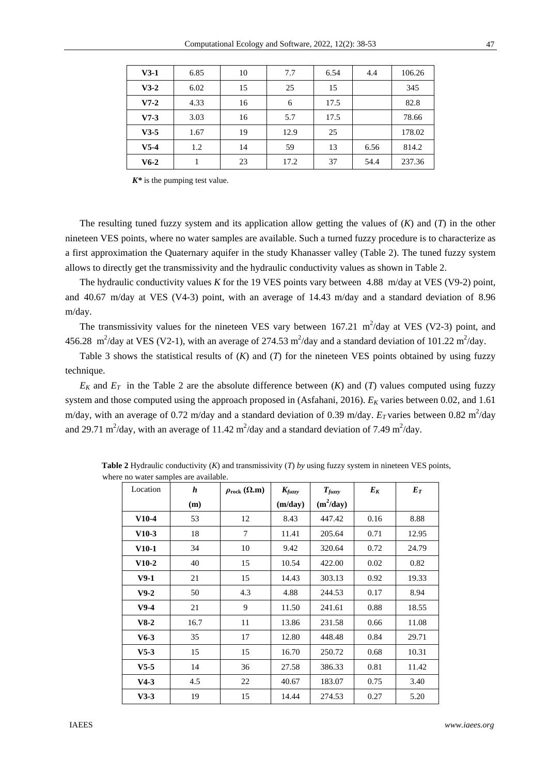| $V3-1$ | 6.85 | 10 | 7.7  | 6.54 | 4.4  | 106.26 |
|--------|------|----|------|------|------|--------|
| $V3-2$ | 6.02 | 15 | 25   | 15   |      | 345    |
| $V7-2$ | 4.33 | 16 | 6    | 17.5 |      | 82.8   |
| $V7-3$ | 3.03 | 16 | 5.7  | 17.5 |      | 78.66  |
| $V3-5$ | 1.67 | 19 | 12.9 | 25   |      | 178.02 |
| $V5-4$ | 1.2  | 14 | 59   | 13   | 6.56 | 814.2  |
| $V6-2$ |      | 23 | 17.2 | 37   | 54.4 | 237.36 |

 $K^*$  is the pumping test value.

The resulting tuned fuzzy system and its application allow getting the values of (*K*) and (*T*) in the other nineteen VES points, where no water samples are available. Such a turned fuzzy procedure is to characterize as a first approximation the Quaternary aquifer in the study Khanasser valley (Table 2). The tuned fuzzy system allows to directly get the transmissivity and the hydraulic conductivity values as shown in Table 2.

The hydraulic conductivity values *K* for the 19 VES points vary between 4.88 m/day at VES (V9-2) point, and 40.67 m/day at VES (V4-3) point, with an average of 14.43 m/day and a standard deviation of 8.96 m/day.

The transmissivity values for the nineteen VES vary between  $167.21 \text{ m}^2/\text{day}$  at VES (V2-3) point, and 456.28 m<sup>2</sup>/day at VES (V2-1), with an average of 274.53 m<sup>2</sup>/day and a standard deviation of 101.22 m<sup>2</sup>/day.

Table 3 shows the statistical results of (*K*) and (*T*) for the nineteen VES points obtained by using fuzzy technique.

 $E_K$  and  $E_T$  in the Table 2 are the absolute difference between  $(K)$  and  $(T)$  values computed using fuzzy system and those computed using the approach proposed in (Asfahani, 2016).  $E_K$  varies between 0.02, and 1.61 m/day, with an average of 0.72 m/day and a standard deviation of 0.39 m/day.  $E_T$  varies between 0.82 m<sup>2</sup>/day and 29.71 m<sup>2</sup>/day, with an average of 11.42 m<sup>2</sup>/day and a standard deviation of 7.49 m<sup>2</sup>/day.

| Location | $\boldsymbol{h}$ | $\rho_{\text{rock}}(\Omega,\text{m})$ | $K_{fuzzy}$ | $T_{fuzzy}$ | $E_K$ | $E_T$ |
|----------|------------------|---------------------------------------|-------------|-------------|-------|-------|
|          | (m)              |                                       | (m/day)     | $(m^2/day)$ |       |       |
| $V10-4$  | 53               | 12                                    | 8.43        | 447.42      | 0.16  | 8.88  |
| $V10-3$  | 18               | 7                                     | 11.41       | 205.64      | 0.71  | 12.95 |
| $V10-1$  | 34               | 10                                    | 9.42        | 320.64      | 0.72  | 24.79 |
| $V10-2$  | 40               | 15                                    | 10.54       | 422.00      | 0.02  | 0.82  |
| $V9-1$   | 21               | 15                                    | 14.43       | 303.13      | 0.92  | 19.33 |
| $V9-2$   | 50               | 4.3                                   | 4.88        | 244.53      | 0.17  | 8.94  |
| $V9-4$   | 21               | 9                                     | 11.50       | 241.61      | 0.88  | 18.55 |
| $V8-2$   | 16.7             | 11                                    | 13.86       | 231.58      | 0.66  | 11.08 |
| $V6-3$   | 35               | 17                                    | 12.80       | 448.48      | 0.84  | 29.71 |
| $V5-3$   | 15               | 15                                    | 16.70       | 250.72      | 0.68  | 10.31 |
| $V5-5$   | 14               | 36                                    | 27.58       | 386.33      | 0.81  | 11.42 |
| $V4-3$   | 4.5              | 22                                    | 40.67       | 183.07      | 0.75  | 3.40  |
| $V3-3$   | 19               | 15                                    | 14.44       | 274.53      | 0.27  | 5.20  |

**Table 2** Hydraulic conductivity (*K*) and transmissivity (*T*) *by* using fuzzy system in nineteen VES points, where no water samples are available.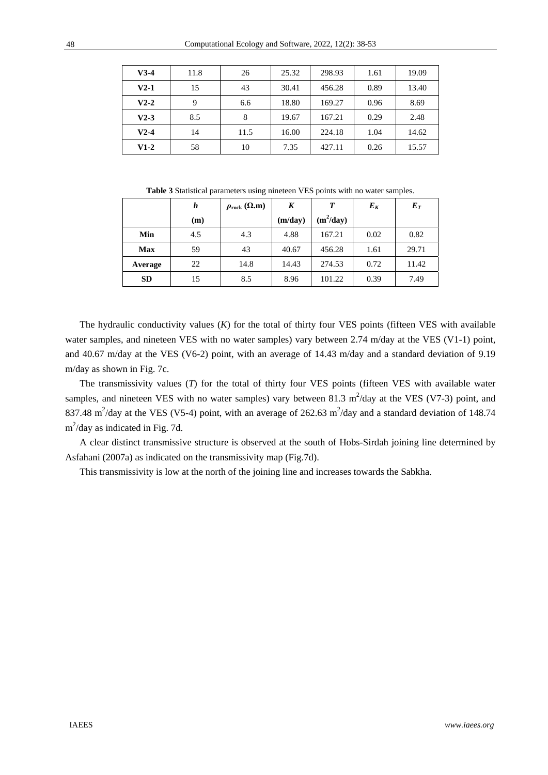| $V3-4$ | 11.8 | 26   | 25.32 | 298.93 | 1.61 | 19.09 |
|--------|------|------|-------|--------|------|-------|
| $V2-1$ | 15   | 43   | 30.41 | 456.28 | 0.89 | 13.40 |
| $V2-2$ | 9    | 6.6  | 18.80 | 169.27 | 0.96 | 8.69  |
| $V2-3$ | 8.5  | 8    | 19.67 | 167.21 | 0.29 | 2.48  |
| $V2-4$ | 14   | 11.5 | 16.00 | 224.18 | 1.04 | 14.62 |
| $V1-2$ | 58   | 10   | 7.35  | 427.11 | 0.26 | 15.57 |

**Table 3** Statistical parameters using nineteen VES points with no water samples.

|            | h   | $\rho_{\text{rock}}(\Omega.\text{m})$ | K       | T           | $E_K$ | $E_T$ |
|------------|-----|---------------------------------------|---------|-------------|-------|-------|
|            | (m) |                                       | (m/day) | $(m^2/day)$ |       |       |
| Min        | 4.5 | 4.3                                   | 4.88    | 167.21      | 0.02  | 0.82  |
| <b>Max</b> | 59  | 43                                    | 40.67   | 456.28      | 1.61  | 29.71 |
| Average    | 22  | 14.8                                  | 14.43   | 274.53      | 0.72  | 11.42 |
| <b>SD</b>  | 15  | 8.5                                   | 8.96    | 101.22      | 0.39  | 7.49  |

The hydraulic conductivity values (*K*) for the total of thirty four VES points (fifteen VES with available water samples, and nineteen VES with no water samples) vary between 2.74 m/day at the VES (V1-1) point, and 40.67 m/day at the VES (V6-2) point, with an average of 14.43 m/day and a standard deviation of 9.19 m/day as shown in Fig. 7c.

The transmissivity values (*T*) for the total of thirty four VES points (fifteen VES with available water samples, and nineteen VES with no water samples) vary between 81.3  $m^2$ /day at the VES (V7-3) point, and 837.48 m<sup>2</sup>/day at the VES (V5-4) point, with an average of 262.63 m<sup>2</sup>/day and a standard deviation of 148.74 m<sup>2</sup>/day as indicated in Fig. 7d.

A clear distinct transmissive structure is observed at the south of Hobs-Sirdah joining line determined by Asfahani (2007a) as indicated on the transmissivity map (Fig.7d).

This transmissivity is low at the north of the joining line and increases towards the Sabkha.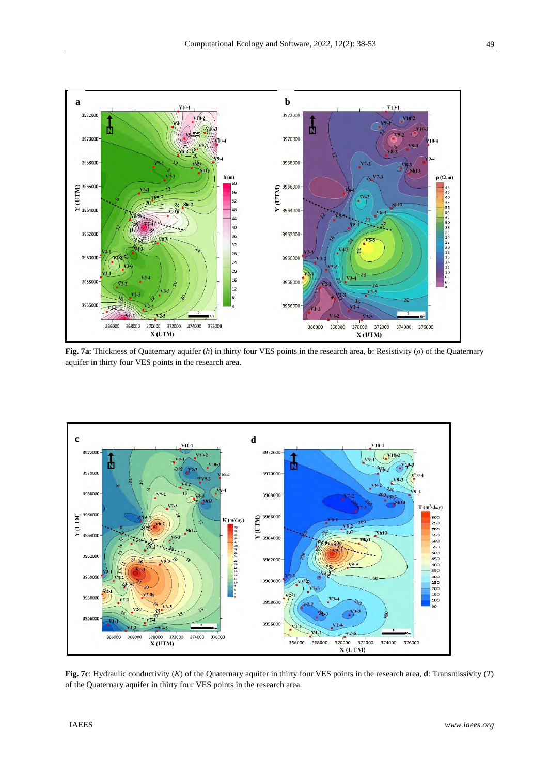

**Fig. 7a**: Thickness of Quaternary aquifer (*h*) in thirty four VES points in the research area, **b**: Resistivity (*ρ*) of the Quaternary aquifer in thirty four VES points in the research area.



**Fig. 7c**: Hydraulic conductivity (*K*) of the Quaternary aquifer in thirty four VES points in the research area, **d**: Transmissivity (*T*) of the Quaternary aquifer in thirty four VES points in the research area.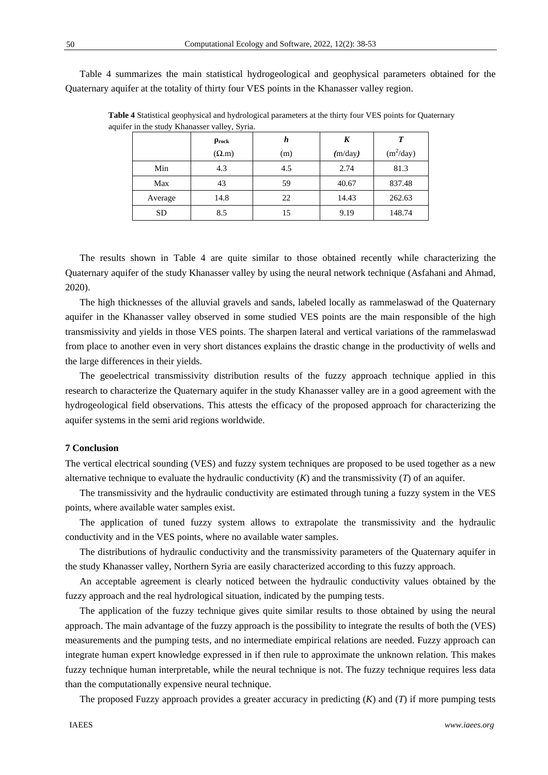Table 4 summarizes the main statistical hydrogeological and geophysical parameters obtained for the Quaternary aquifer at the totality of thirty four VES points in the Khanasser valley region.

|           | $\rho_{rock}$ | h   | K       | T           |
|-----------|---------------|-----|---------|-------------|
|           | $(\Omega.m)$  | (m) | (m/day) | $(m^2/day)$ |
| Min       | 4.3           | 4.5 | 2.74    | 81.3        |
| Max       | 43            | 59  | 40.67   | 837.48      |
| Average   | 14.8          | 22  | 14.43   | 262.63      |
| <b>SD</b> | 8.5           | 15  | 9.19    | 148.74      |

**Table 4** Statistical geophysical and hydrological parameters at the thirty four VES points for Quaternary aquifer in the study Khanasser valley, Syria.

The results shown in Table 4 are quite similar to those obtained recently while characterizing the Quaternary aquifer of the study Khanasser valley by using the neural network technique (Asfahani and Ahmad, 2020).

The high thicknesses of the alluvial gravels and sands, labeled locally as rammelaswad of the Quaternary aquifer in the Khanasser valley observed in some studied VES points are the main responsible of the high transmissivity and yields in those VES points. The sharpen lateral and vertical variations of the rammelaswad from place to another even in very short distances explains the drastic change in the productivity of wells and the large differences in their yields.

The geoelectrical transmissivity distribution results of the fuzzy approach technique applied in this research to characterize the Quaternary aquifer in the study Khanasser valley are in a good agreement with the hydrogeological field observations. This attests the efficacy of the proposed approach for characterizing the aquifer systems in the semi arid regions worldwide.

## **7 Conclusion**

The vertical electrical sounding (VES) and fuzzy system techniques are proposed to be used together as a new alternative technique to evaluate the hydraulic conductivity (*K*) and the transmissivity (*T*) of an aquifer.

The transmissivity and the hydraulic conductivity are estimated through tuning a fuzzy system in the VES points, where available water samples exist.

The application of tuned fuzzy system allows to extrapolate the transmissivity and the hydraulic conductivity and in the VES points, where no available water samples.

The distributions of hydraulic conductivity and the transmissivity parameters of the Quaternary aquifer in the study Khanasser valley, Northern Syria are easily characterized according to this fuzzy approach.

An acceptable agreement is clearly noticed between the hydraulic conductivity values obtained by the fuzzy approach and the real hydrological situation, indicated by the pumping tests.

The application of the fuzzy technique gives quite similar results to those obtained by using the neural approach. The main advantage of the fuzzy approach is the possibility to integrate the results of both the (VES) measurements and the pumping tests, and no intermediate empirical relations are needed. Fuzzy approach can integrate human expert knowledge expressed in if then rule to approximate the unknown relation. This makes fuzzy technique human interpretable, while the neural technique is not. The fuzzy technique requires less data than the computationally expensive neural technique.

The proposed Fuzzy approach provides a greater accuracy in predicting (*K*) and (*T*) if more pumping tests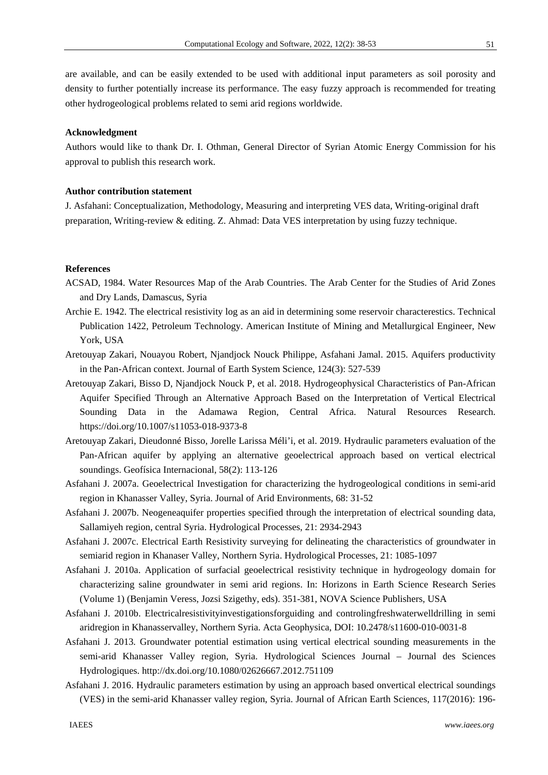are available, and can be easily extended to be used with additional input parameters as soil porosity and density to further potentially increase its performance. The easy fuzzy approach is recommended for treating other hydrogeological problems related to semi arid regions worldwide.

#### **Acknowledgment**

Authors would like to thank Dr. I. Othman, General Director of Syrian Atomic Energy Commission for his approval to publish this research work.

## **Author contribution statement**

J. Asfahani: Conceptualization, Methodology, Measuring and interpreting VES data, Writing-original draft preparation, Writing-review & editing. Z. Ahmad: Data VES interpretation by using fuzzy technique.

## **References**

- ACSAD, 1984. Water Resources Map of the Arab Countries. The Arab Center for the Studies of Arid Zones and Dry Lands, Damascus, Syria
- Archie E. 1942. The electrical resistivity log as an aid in determining some reservoir characterestics. Technical Publication 1422, Petroleum Technology. American Institute of Mining and Metallurgical Engineer, New York, USA
- Aretouyap Zakari, Nouayou Robert, Njandjock Nouck Philippe, Asfahani Jamal. 2015. Aquifers productivity in the Pan-African context. Journal of Earth System Science, 124(3): 527-539
- Aretouyap Zakari, Bisso D, Njandjock Nouck P, et al. 2018. Hydrogeophysical Characteristics of Pan-African Aquifer Specified Through an Alternative Approach Based on the Interpretation of Vertical Electrical Sounding Data in the Adamawa Region, Central Africa. Natural Resources Research. https://doi.org/10.1007/s11053-018-9373-8
- Aretouyap Zakari, Dieudonné Bisso, Jorelle Larissa Méli'i, et al. 2019. Hydraulic parameters evaluation of the Pan-African aquifer by applying an alternative geoelectrical approach based on vertical electrical soundings. Geofísica Internacional, 58(2): 113-126
- Asfahani J. 2007a. Geoelectrical Investigation for characterizing the hydrogeological conditions in semi-arid region in Khanasser Valley, Syria. Journal of Arid Environments, 68: 31-52
- Asfahani J. 2007b. Neogeneaquifer properties specified through the interpretation of electrical sounding data, Sallamiyeh region, central Syria. Hydrological Processes, 21: 2934-2943
- Asfahani J. 2007c. Electrical Earth Resistivity surveying for delineating the characteristics of groundwater in semiarid region in Khanaser Valley, Northern Syria. Hydrological Processes, 21: 1085-1097
- Asfahani J. 2010a. Application of surfacial geoelectrical resistivity technique in hydrogeology domain for characterizing saline groundwater in semi arid regions. In: Horizons in Earth Science Research Series (Volume 1) (Benjamin Veress, Jozsi Szigethy, eds). 351-381, NOVA Science Publishers, USA
- Asfahani J. 2010b. Electricalresistivityinvestigationsforguiding and controlingfreshwaterwelldrilling in semi aridregion in Khanasservalley, Northern Syria. Acta Geophysica, DOI: 10.2478/s11600-010-0031-8
- Asfahani J. 2013*.* Groundwater potential estimation using vertical electrical sounding measurements in the semi-arid Khanasser Valley region, Syria. Hydrological Sciences Journal – Journal des Sciences Hydrologiques. http://dx.doi.org/10.1080/02626667.2012.751109
- Asfahani J. 2016. Hydraulic parameters estimation by using an approach based onvertical electrical soundings (VES) in the semi-arid Khanasser valley region, Syria. Journal of African Earth Sciences, 117(2016): 196-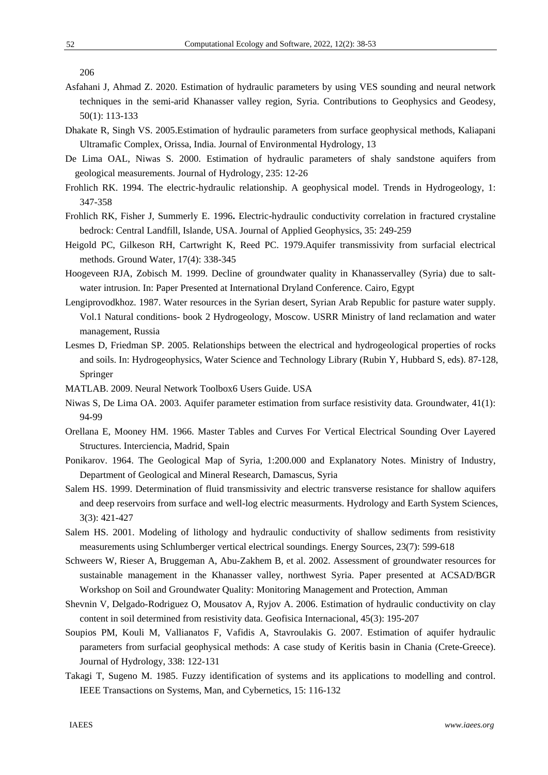52

206

- Asfahani J, Ahmad Z. 2020. Estimation of hydraulic parameters by using VES sounding and neural network techniques in the semi-arid Khanasser valley region, Syria. Contributions to Geophysics and Geodesy, 50(1): 113-133
- Dhakate R, Singh VS. 2005.Estimation of hydraulic parameters from surface geophysical methods, Kaliapani Ultramafic Complex, Orissa, India. Journal of Environmental Hydrology, 13
- De Lima OAL, Niwas S. 2000. Estimation of hydraulic parameters of shaly sandstone aquifers from geological measurements. Journal of Hydrology, 235: 12-26
- Frohlich RK. 1994. The electric-hydraulic relationship. A geophysical model. Trends in Hydrogeology, 1: 347-358
- Frohlich RK, Fisher J, Summerly E. 1996**.** Electric-hydraulic conductivity correlation in fractured crystaline bedrock: Central Landfill, Islande, USA. Journal of Applied Geophysics, 35: 249-259
- Heigold PC, Gilkeson RH, Cartwright K, Reed PC. 1979.Aquifer transmissivity from surfacial electrical methods. Ground Water, 17(4): 338-345
- Hoogeveen RJA, Zobisch M. 1999. Decline of groundwater quality in Khanasservalley (Syria) due to saltwater intrusion. In: Paper Presented at International Dryland Conference. Cairo, Egypt
- Lengiprovodkhoz. 1987. Water resources in the Syrian desert, Syrian Arab Republic for pasture water supply. Vol.1 Natural conditions- book 2 Hydrogeology, Moscow. USRR Ministry of land reclamation and water management, Russia
- Lesmes D, Friedman SP. 2005. Relationships between the electrical and hydrogeological properties of rocks and soils. In: Hydrogeophysics, Water Science and Technology Library (Rubin Y, Hubbard S, eds). 87-128, Springer
- MATLAB. 2009. Neural Network Toolbox6 Users Guide. USA
- Niwas S, De Lima OA. 2003. Aquifer parameter estimation from surface resistivity data. Groundwater, 41(1): 94-99
- Orellana E, Mooney HM. 1966. Master Tables and Curves For Vertical Electrical Sounding Over Layered Structures. Interciencia, Madrid, Spain
- Ponikarov. 1964. The Geological Map of Syria, 1:200.000 and Explanatory Notes. Ministry of Industry, Department of Geological and Mineral Research, Damascus, Syria
- Salem HS. 1999. Determination of fluid transmissivity and electric transverse resistance for shallow aquifers and deep reservoirs from surface and well-log electric measurments. Hydrology and Earth System Sciences, 3(3): 421-427
- Salem HS. 2001. Modeling of lithology and hydraulic conductivity of shallow sediments from resistivity measurements using Schlumberger vertical electrical soundings. Energy Sources, 23(7): 599-618
- Schweers W, Rieser A, Bruggeman A, Abu-Zakhem B, et al. 2002. Assessment of groundwater resources for sustainable management in the Khanasser valley, northwest Syria. Paper presented at ACSAD/BGR Workshop on Soil and Groundwater Quality: Monitoring Management and Protection, Amman
- Shevnin V, Delgado-Rodriguez O, Mousatov A, Ryjov A. 2006. Estimation of hydraulic conductivity on clay content in soil determined from resistivity data. Geofisica Internacional, 45(3): 195-207
- Soupios PM, Kouli M, Vallianatos F, Vafidis A, Stavroulakis G. 2007. Estimation of aquifer hydraulic parameters from surfacial geophysical methods: A case study of Keritis basin in Chania (Crete-Greece). Journal of Hydrology, 338: 122-131
- Takagi T, Sugeno M. 1985. Fuzzy identification of systems and its applications to modelling and control. IEEE Transactions on Systems, Man, and Cybernetics, 15: 116-132